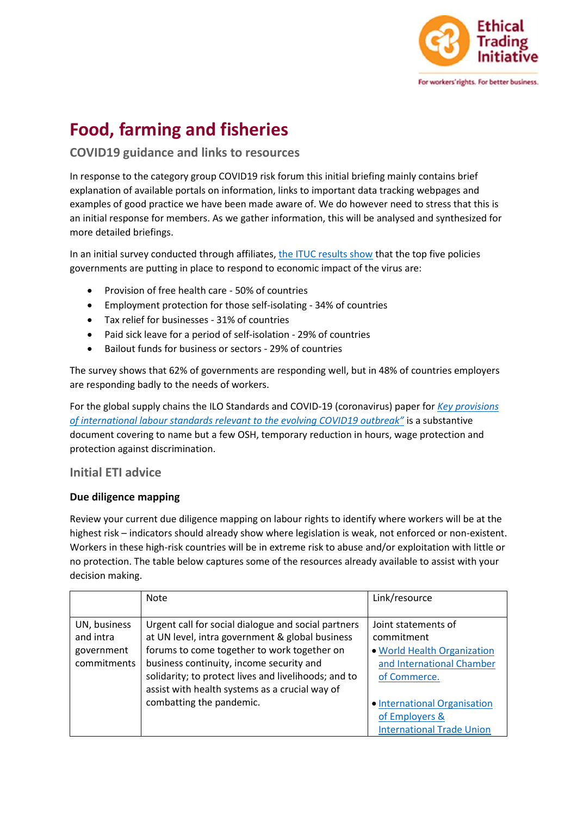

# **Food, farming and fisheries**

## **COVID19 guidance and links to resources**

In response to the category group COVID19 risk forum this initial briefing mainly contains brief explanation of available portals on information, links to important data tracking webpages and examples of good practice we have been made aware of. We do however need to stress that this is an initial response for members. As we gather information, this will be analysed and synthesized for more detailed briefings.

In an initial survey conducted through affiliates[, the ITUC results show](https://www.ituc-csi.org/ituc-global-covid-19-survey) that the top five policies governments are putting in place to respond to economic impact of the virus are:

- Provision of free health care 50% of countries
- Employment protection for those self-isolating 34% of countries
- Tax relief for businesses 31% of countries
- Paid sick leave for a period of self-isolation 29% of countries
- Bailout funds for business or sectors 29% of countries

The survey shows that 62% of governments are responding well, but in 48% of countries employers are responding badly to the needs of workers.

For the global supply chains the ILO Standards and COVID-19 (coronavirus) paper for *[Key provisions](https://www.ilo.org/wcmsp5/groups/public/---ed_norm/---normes/documents/publication/wcms_739937.pdf)  [of international labour standards relevant to the evolving COVID19 outbreak"](https://www.ilo.org/wcmsp5/groups/public/---ed_norm/---normes/documents/publication/wcms_739937.pdf)* is a substantive document covering to name but a few OSH, temporary reduction in hours, wage protection and protection against discrimination.

## **Initial ETI advice**

#### **Due diligence mapping**

Review your current due diligence mapping on labour rights to identify where workers will be at the highest risk – indicators should already show where legislation is weak, not enforced or non-existent. Workers in these high-risk countries will be in extreme risk to abuse and/or exploitation with little or no protection. The table below captures some of the resources already available to assist with your decision making.

|              | Note                                                 | Link/resource                    |
|--------------|------------------------------------------------------|----------------------------------|
|              |                                                      |                                  |
| UN, business | Urgent call for social dialogue and social partners  | Joint statements of              |
| and intra    | at UN level, intra government & global business      | commitment                       |
| government   | forums to come together to work together on          | . World Health Organization      |
| commitments  | business continuity, income security and             | and International Chamber        |
|              | solidarity; to protect lives and livelihoods; and to | of Commerce.                     |
|              | assist with health systems as a crucial way of       |                                  |
|              | combatting the pandemic.                             | · International Organisation     |
|              |                                                      | of Employers &                   |
|              |                                                      | <b>International Trade Union</b> |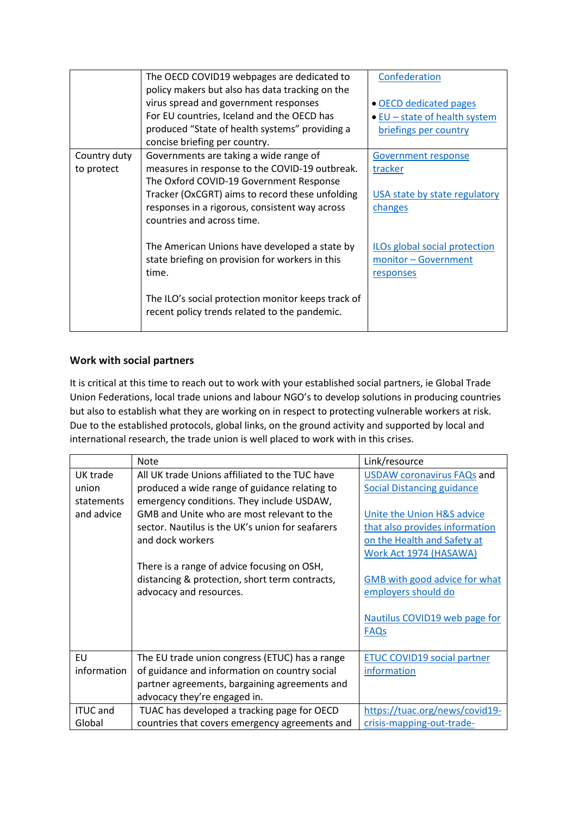|              | The OECD COVID19 webpages are dedicated to<br>policy makers but also has data tracking on the | Confederation                 |
|--------------|-----------------------------------------------------------------------------------------------|-------------------------------|
|              | virus spread and government responses                                                         | • OECD dedicated pages        |
|              | For EU countries, Iceland and the OECD has                                                    | • EU - state of health system |
|              | produced "State of health systems" providing a                                                | briefings per country         |
|              | concise briefing per country.                                                                 |                               |
| Country duty | Governments are taking a wide range of                                                        | Government response           |
| to protect   | measures in response to the COVID-19 outbreak.                                                | tracker                       |
|              | The Oxford COVID-19 Government Response                                                       |                               |
|              | Tracker (OxCGRT) aims to record these unfolding                                               | USA state by state regulatory |
|              | responses in a rigorous, consistent way across                                                | changes                       |
|              | countries and across time.                                                                    |                               |
|              |                                                                                               |                               |
|              | The American Unions have developed a state by                                                 | ILOs global social protection |
|              | state briefing on provision for workers in this                                               | monitor - Government          |
|              | time.                                                                                         | responses                     |
|              |                                                                                               |                               |
|              | The ILO's social protection monitor keeps track of                                            |                               |
|              | recent policy trends related to the pandemic.                                                 |                               |
|              |                                                                                               |                               |

## **Work with social partners**

It is critical at this time to reach out to work with your established social partners, ie Global Trade Union Federations, local trade unions and labour NGO's to develop solutions in producing countries but also to establish what they are working on in respect to protecting vulnerable workers at risk. Due to the established protocols, global links, on the ground activity and supported by local and international research, the trade union is well placed to work with in this crises.

|                 | <b>Note</b>                                      | Link/resource                      |
|-----------------|--------------------------------------------------|------------------------------------|
| UK trade        | All UK trade Unions affiliated to the TUC have   | <b>USDAW coronavirus FAQs and</b>  |
| union           | produced a wide range of guidance relating to    | <b>Social Distancing guidance</b>  |
| statements      | emergency conditions. They include USDAW,        |                                    |
| and advice      | GMB and Unite who are most relevant to the       | Unite the Union H&S advice         |
|                 | sector. Nautilus is the UK's union for seafarers | that also provides information     |
|                 | and dock workers                                 | on the Health and Safety at        |
|                 |                                                  | Work Act 1974 (HASAWA)             |
|                 | There is a range of advice focusing on OSH,      |                                    |
|                 | distancing & protection, short term contracts,   | GMB with good advice for what      |
|                 | advocacy and resources.                          | employers should do                |
|                 |                                                  |                                    |
|                 |                                                  | Nautilus COVID19 web page for      |
|                 |                                                  | <b>FAQs</b>                        |
|                 |                                                  |                                    |
| <b>EU</b>       | The EU trade union congress (ETUC) has a range   | <b>ETUC COVID19 social partner</b> |
| information     | of guidance and information on country social    | information                        |
|                 | partner agreements, bargaining agreements and    |                                    |
|                 | advocacy they're engaged in.                     |                                    |
| <b>ITUC</b> and | TUAC has developed a tracking page for OECD      | https://tuac.org/news/covid19-     |
| Global          | countries that covers emergency agreements and   | crisis-mapping-out-trade-          |